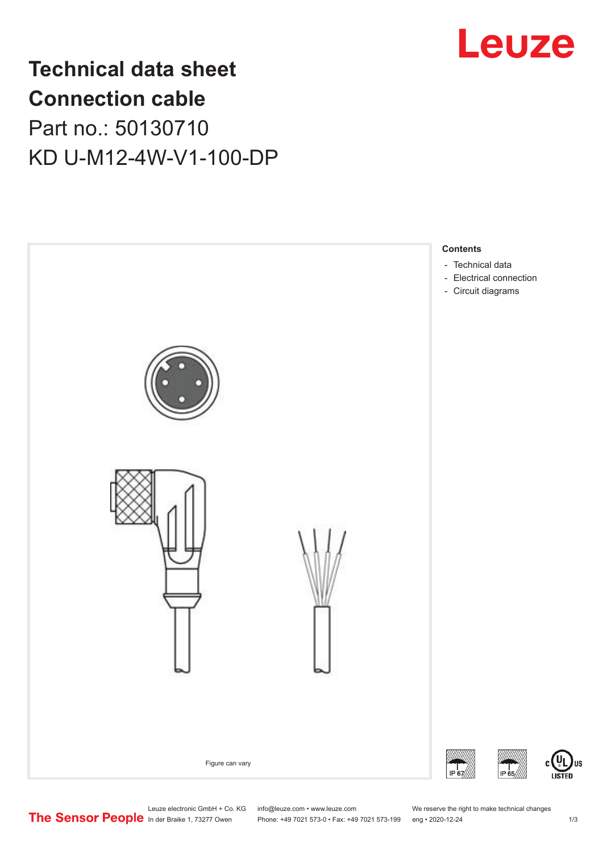

# **Technical data sheet Connection cable** Part no.: 50130710 KD U-M12-4W-V1-100-DP



Leuze electronic GmbH + Co. KG info@leuze.com • www.leuze.com We reserve the right to make technical changes<br>
The Sensor People in der Braike 1, 73277 Owen Phone: +49 7021 573-0 • Fax: +49 7021 573-199 eng • 2020-12-24

Phone: +49 7021 573-0 • Fax: +49 7021 573-199 eng • 2020-12-24 1 2020-12-24

US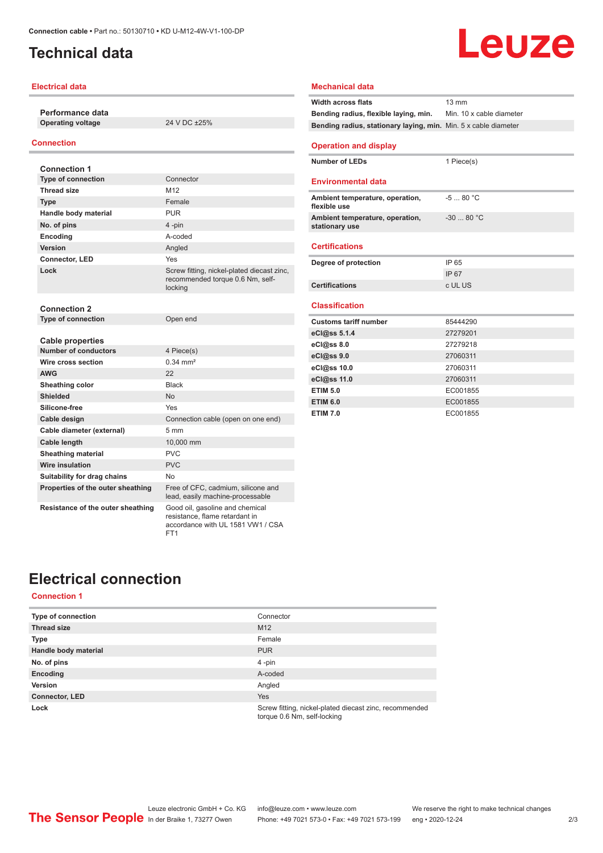### <span id="page-1-0"></span>**Technical data**

#### **Electrical data**

**Performance data Operating voltage** 24 V DC ±25%

#### **Connection**

| <b>Connection 1</b>               |                                                                                                        |
|-----------------------------------|--------------------------------------------------------------------------------------------------------|
| <b>Type of connection</b>         | Connector                                                                                              |
| <b>Thread size</b>                | M <sub>12</sub>                                                                                        |
| <b>Type</b>                       | Female                                                                                                 |
| Handle body material              | <b>PUR</b>                                                                                             |
| No. of pins                       | 4-pin                                                                                                  |
| Encoding                          | A-coded                                                                                                |
| Version                           | Angled                                                                                                 |
| <b>Connector, LED</b>             | Yes                                                                                                    |
| Lock                              | Screw fitting, nickel-plated diecast zinc,<br>recommended torque 0.6 Nm, self-<br>locking              |
| <b>Connection 2</b>               |                                                                                                        |
| <b>Type of connection</b>         | Open end                                                                                               |
| <b>Cable properties</b>           |                                                                                                        |
| <b>Number of conductors</b>       | 4 Piece(s)                                                                                             |
| Wire cross section                | $0.34 \, \text{mm}^2$                                                                                  |
| <b>AWG</b>                        | 22                                                                                                     |
| Sheathing color                   | <b>Black</b>                                                                                           |
| <b>Shielded</b>                   | <b>No</b>                                                                                              |
| Silicone-free                     | Yes                                                                                                    |
| Cable design                      | Connection cable (open on one end)                                                                     |
| Cable diameter (external)         | 5 <sub>mm</sub>                                                                                        |
| <b>Cable length</b>               | 10,000 mm                                                                                              |
| <b>Sheathing material</b>         | PVC                                                                                                    |
| Wire insulation                   | <b>PVC</b>                                                                                             |
| Suitability for drag chains       | No                                                                                                     |
| Properties of the outer sheathing | Free of CFC, cadmium, silicone and<br>lead, easily machine-processable                                 |
| Resistance of the outer sheathing | Good oil, gasoline and chemical<br>resistance, flame retardant in<br>accordance with UL 1581 VW1 / CSA |

FT1

## **Mechanical data Width across flats** 13 mm **Bending radius, flexible laying, min.** Min. 10 x cable diameter **Bending radius, stationary laying, min.** Min. 5 x cable diameter **Operation and display Number of LEDs** 1 Piece(s) **Environmental data**

Leuze

| Ambient temperature, operation,<br>flexible use   | $-580 °C$   |
|---------------------------------------------------|-------------|
| Ambient temperature, operation,<br>stationary use | $-3080$ °C. |

#### **Certifications**

| Degree of protection  | IP 65   |
|-----------------------|---------|
|                       | IP 67   |
| <b>Certifications</b> | c UL US |

#### **Classification**

| <b>Customs tariff number</b> | 85444290 |
|------------------------------|----------|
| eCl@ss 5.1.4                 | 27279201 |
| $eC/\omega$ ss 8.0           | 27279218 |
| eCl@ss 9.0                   | 27060311 |
| eCl@ss 10.0                  | 27060311 |
| eCl@ss 11.0                  | 27060311 |
| <b>ETIM 5.0</b>              | EC001855 |
| <b>ETIM 6.0</b>              | EC001855 |
| <b>ETIM 7.0</b>              | EC001855 |

# **Electrical connection**

### **Connection 1**

| <b>Type of connection</b> | Connector                                                                             |
|---------------------------|---------------------------------------------------------------------------------------|
| <b>Thread size</b>        | M <sub>12</sub>                                                                       |
| <b>Type</b>               | Female                                                                                |
| Handle body material      | <b>PUR</b>                                                                            |
| No. of pins               | $4$ -pin                                                                              |
| Encoding                  | A-coded                                                                               |
| Version                   | Angled                                                                                |
| <b>Connector, LED</b>     | <b>Yes</b>                                                                            |
| Lock                      | Screw fitting, nickel-plated diecast zinc, recommended<br>torque 0.6 Nm, self-locking |